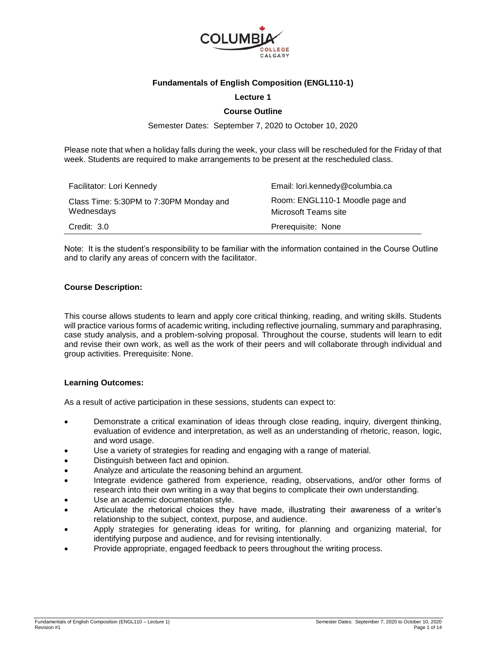

## **Fundamentals of English Composition (ENGL110-1)**

### **Lecture 1**

### **Course Outline**

Semester Dates: September 7, 2020 to October 10, 2020

Please note that when a holiday falls during the week, your class will be rescheduled for the Friday of that week. Students are required to make arrangements to be present at the rescheduled class.

| Facilitator: Lori Kennedy                             | Email: lori.kennedy@columbia.ca                         |
|-------------------------------------------------------|---------------------------------------------------------|
| Class Time: 5:30PM to 7:30PM Monday and<br>Wednesdays | Room: ENGL110-1 Moodle page and<br>Microsoft Teams site |
| Credit: 3.0                                           | Prerequisite: None                                      |

Note: It is the student's responsibility to be familiar with the information contained in the Course Outline and to clarify any areas of concern with the facilitator.

#### **Course Description:**

This course allows students to learn and apply core critical thinking, reading, and writing skills. Students will practice various forms of academic writing, including reflective journaling, summary and paraphrasing, case study analysis, and a problem-solving proposal. Throughout the course, students will learn to edit and revise their own work, as well as the work of their peers and will collaborate through individual and group activities. Prerequisite: None.

### **Learning Outcomes:**

As a result of active participation in these sessions, students can expect to:

- Demonstrate a critical examination of ideas through close reading, inquiry, divergent thinking, evaluation of evidence and interpretation, as well as an understanding of rhetoric, reason, logic, and word usage.
- Use a variety of strategies for reading and engaging with a range of material.
- Distinguish between fact and opinion.
- Analyze and articulate the reasoning behind an argument.
- Integrate evidence gathered from experience, reading, observations, and/or other forms of research into their own writing in a way that begins to complicate their own understanding.
- Use an academic documentation style.
- Articulate the rhetorical choices they have made, illustrating their awareness of a writer's relationship to the subject, context, purpose, and audience.
- Apply strategies for generating ideas for writing, for planning and organizing material, for identifying purpose and audience, and for revising intentionally.
- Provide appropriate, engaged feedback to peers throughout the writing process.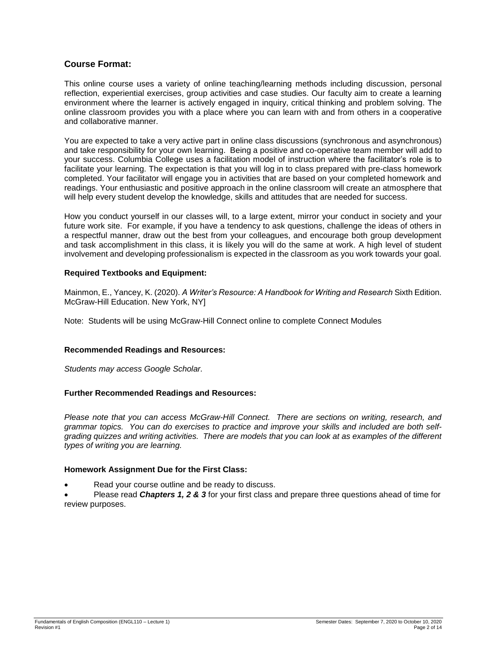# **Course Format:**

This online course uses a variety of online teaching/learning methods including discussion, personal reflection, experiential exercises, group activities and case studies. Our faculty aim to create a learning environment where the learner is actively engaged in inquiry, critical thinking and problem solving. The online classroom provides you with a place where you can learn with and from others in a cooperative and collaborative manner.

You are expected to take a very active part in online class discussions (synchronous and asynchronous) and take responsibility for your own learning. Being a positive and co-operative team member will add to your success. Columbia College uses a facilitation model of instruction where the facilitator's role is to facilitate your learning. The expectation is that you will log in to class prepared with pre-class homework completed. Your facilitator will engage you in activities that are based on your completed homework and readings. Your enthusiastic and positive approach in the online classroom will create an atmosphere that will help every student develop the knowledge, skills and attitudes that are needed for success.

How you conduct yourself in our classes will, to a large extent, mirror your conduct in society and your future work site. For example, if you have a tendency to ask questions, challenge the ideas of others in a respectful manner, draw out the best from your colleagues, and encourage both group development and task accomplishment in this class, it is likely you will do the same at work. A high level of student involvement and developing professionalism is expected in the classroom as you work towards your goal.

### **Required Textbooks and Equipment:**

Mainmon, E., Yancey, K. (2020). *A Writer's Resource: A Handbook for Writing and Research* Sixth Edition. McGraw-Hill Education. New York, NY]

Note: Students will be using McGraw-Hill Connect online to complete Connect Modules

### **Recommended Readings and Resources:**

*Students may access Google Scholar.*

# **Further Recommended Readings and Resources:**

*Please note that you can access McGraw-Hill Connect. There are sections on writing, research, and grammar topics. You can do exercises to practice and improve your skills and included are both selfgrading quizzes and writing activities. There are models that you can look at as examples of the different types of writing you are learning.*

### **Homework Assignment Due for the First Class:**

Read your course outline and be ready to discuss.

 Please read *Chapters 1, 2 & 3* for your first class and prepare three questions ahead of time for review purposes.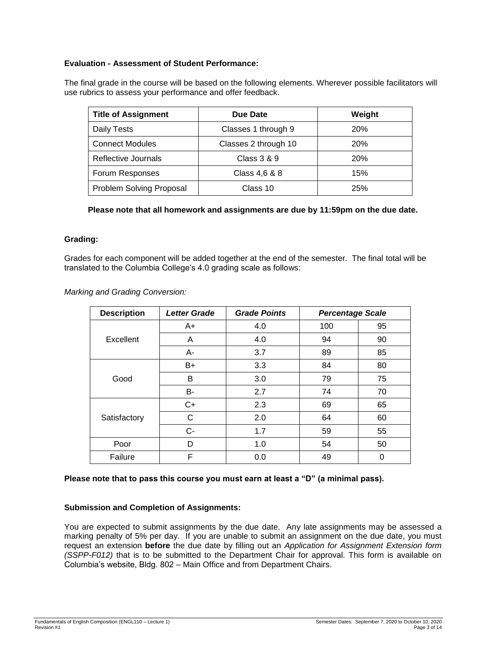# **Evaluation - Assessment of Student Performance:**

The final grade in the course will be based on the following elements. Wherever possible facilitators will use rubrics to assess your performance and offer feedback.

| <b>Title of Assignment</b> | Due Date             | Weight     |
|----------------------------|----------------------|------------|
| Daily Tests                | Classes 1 through 9  | <b>20%</b> |
| <b>Connect Modules</b>     | Classes 2 through 10 | 20%        |
| Reflective Journals        | Class 3 & 9          | <b>20%</b> |
| Forum Responses            | Class 4,6 & 8        | 15%        |
| Problem Solving Proposal   | Class 10             | 25%        |

**Please note that all homework and assignments are due by 11:59pm on the due date.**

# **Grading:**

Grades for each component will be added together at the end of the semester. The final total will be translated to the Columbia College's 4.0 grading scale as follows:

*Marking and Grading Conversion:*

| <b>Description</b> | <b>Letter Grade</b> | <b>Grade Points</b> | <b>Percentage Scale</b> |    |
|--------------------|---------------------|---------------------|-------------------------|----|
|                    | $A+$                | 4.0                 | 100                     | 95 |
| Excellent          | A                   | 4.0                 | 94                      | 90 |
|                    | А-                  | 3.7                 | 89                      | 85 |
|                    | B+                  | 3.3                 | 84                      | 80 |
| Good               | в                   | 3.0                 | 79                      | 75 |
|                    | B-                  | 2.7                 | 74                      | 70 |
| Satisfactory       | $C+$                | 2.3                 | 69                      | 65 |
|                    | C                   | 2.0                 | 64                      | 60 |
|                    | $C-$                | 1.7                 | 59                      | 55 |
| Poor               | D                   | 1.0                 | 54                      | 50 |
| Failure            | F                   | 0.0                 | 49                      | 0  |

### **Please note that to pass this course you must earn at least a "D" (a minimal pass).**

## **Submission and Completion of Assignments:**

You are expected to submit assignments by the due date. Any late assignments may be assessed a marking penalty of 5% per day. If you are unable to submit an assignment on the due date, you must request an extension **before** the due date by filling out an *Application for Assignment Extension form (SSPP-F012)* that is to be submitted to the Department Chair for approval. This form is available on Columbia's website, Bldg. 802 – Main Office and from Department Chairs.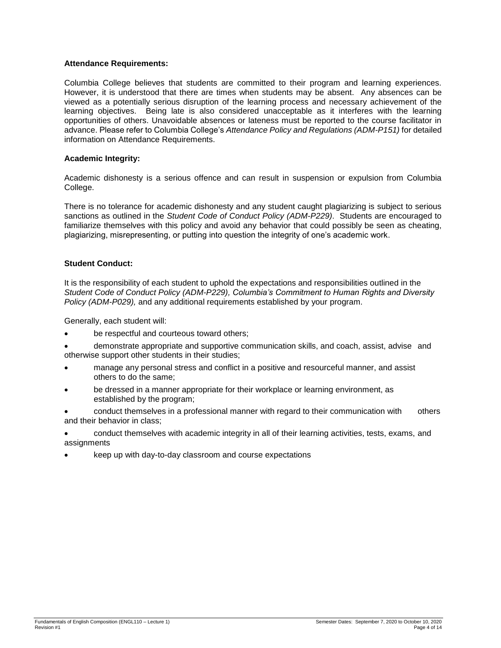### **Attendance Requirements:**

Columbia College believes that students are committed to their program and learning experiences. However, it is understood that there are times when students may be absent. Any absences can be viewed as a potentially serious disruption of the learning process and necessary achievement of the learning objectives. Being late is also considered unacceptable as it interferes with the learning opportunities of others. Unavoidable absences or lateness must be reported to the course facilitator in advance. Please refer to Columbia College's *Attendance Policy and Regulations (ADM-P151)* for detailed information on Attendance Requirements.

### **Academic Integrity:**

Academic dishonesty is a serious offence and can result in suspension or expulsion from Columbia College.

There is no tolerance for academic dishonesty and any student caught plagiarizing is subject to serious sanctions as outlined in the *Student Code of Conduct Policy (ADM-P229)*. Students are encouraged to familiarize themselves with this policy and avoid any behavior that could possibly be seen as cheating, plagiarizing, misrepresenting, or putting into question the integrity of one's academic work.

### **Student Conduct:**

It is the responsibility of each student to uphold the expectations and responsibilities outlined in the *Student Code of Conduct Policy (ADM-P229), Columbia's Commitment to Human Rights and Diversity Policy (ADM-P029),* and any additional requirements established by your program.

Generally, each student will:

- be respectful and courteous toward others;
- demonstrate appropriate and supportive communication skills, and coach, assist, advise and otherwise support other students in their studies;
- manage any personal stress and conflict in a positive and resourceful manner, and assist others to do the same;
- be dressed in a manner appropriate for their workplace or learning environment, as established by the program;

 conduct themselves in a professional manner with regard to their communication with others and their behavior in class;

- conduct themselves with academic integrity in all of their learning activities, tests, exams, and assignments
- keep up with day-to-day classroom and course expectations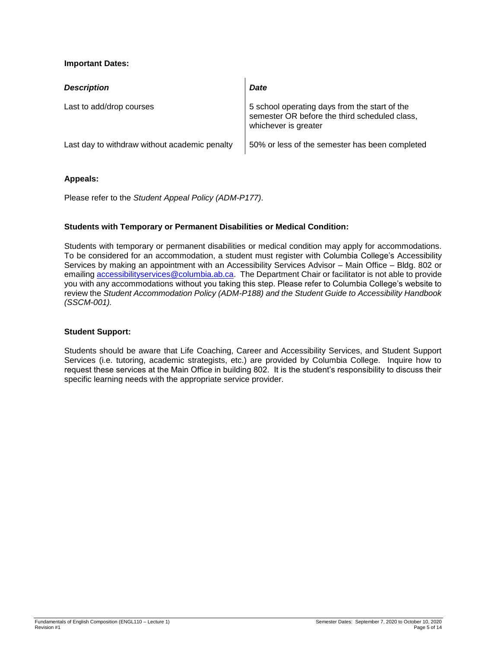# **Important Dates:**

| <b>Description</b>                            | Date                                                                                                                   |
|-----------------------------------------------|------------------------------------------------------------------------------------------------------------------------|
| Last to add/drop courses                      | 5 school operating days from the start of the<br>semester OR before the third scheduled class,<br>whichever is greater |
| Last day to withdraw without academic penalty | 50% or less of the semester has been completed                                                                         |

### **Appeals:**

Please refer to the *Student Appeal Policy (ADM-P177)*.

# **Students with Temporary or Permanent Disabilities or Medical Condition:**

Students with temporary or permanent disabilities or medical condition may apply for accommodations. To be considered for an accommodation, a student must register with Columbia College's Accessibility Services by making an appointment with an Accessibility Services Advisor – Main Office – Bldg. 802 or emailing [accessibilityservices@columbia.ab.ca.](mailto:accessibilityservices@columbia.ab.ca) The Department Chair or facilitator is not able to provide you with any accommodations without you taking this step. Please refer to Columbia College's website to review the *Student Accommodation Policy (ADM-P188) and the Student Guide to Accessibility Handbook (SSCM-001).*

# **Student Support:**

Students should be aware that Life Coaching, Career and Accessibility Services, and Student Support Services (i.e. tutoring, academic strategists, etc.) are provided by Columbia College. Inquire how to request these services at the Main Office in building 802. It is the student's responsibility to discuss their specific learning needs with the appropriate service provider.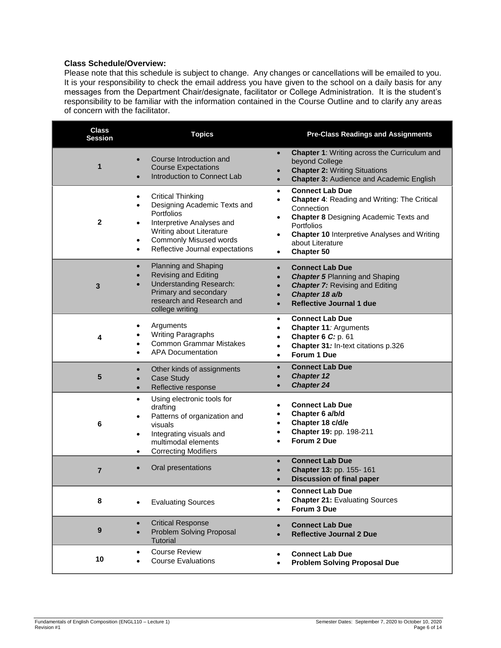# **Class Schedule/Overview:**

Please note that this schedule is subject to change. Any changes or cancellations will be emailed to you. It is your responsibility to check the email address you have given to the school on a daily basis for any messages from the Department Chair/designate, facilitator or College Administration. It is the student's responsibility to be familiar with the information contained in the Course Outline and to clarify any areas of concern with the facilitator.

| <b>Class</b><br><b>Session</b> | <b>Topics</b>                                                                                                                                                                                                                                                               | <b>Pre-Class Readings and Assignments</b>                                                                                                                                                                                                                                                         |
|--------------------------------|-----------------------------------------------------------------------------------------------------------------------------------------------------------------------------------------------------------------------------------------------------------------------------|---------------------------------------------------------------------------------------------------------------------------------------------------------------------------------------------------------------------------------------------------------------------------------------------------|
| 1                              | Course Introduction and<br><b>Course Expectations</b><br>Introduction to Connect Lab                                                                                                                                                                                        | <b>Chapter 1: Writing across the Curriculum and</b><br>$\bullet$<br>beyond College<br><b>Chapter 2: Writing Situations</b><br><b>Chapter 3: Audience and Academic English</b><br>$\bullet$                                                                                                        |
| $\mathbf{2}$                   | <b>Critical Thinking</b><br>$\bullet$<br>Designing Academic Texts and<br>$\bullet$<br><b>Portfolios</b><br>Interpretive Analyses and<br>$\bullet$<br>Writing about Literature<br><b>Commonly Misused words</b><br>$\bullet$<br>Reflective Journal expectations<br>$\bullet$ | <b>Connect Lab Due</b><br>$\bullet$<br><b>Chapter 4: Reading and Writing: The Critical</b><br>$\bullet$<br>Connection<br><b>Chapter 8 Designing Academic Texts and</b><br><b>Portfolios</b><br><b>Chapter 10 Interpretive Analyses and Writing</b><br>$\bullet$<br>about Literature<br>Chapter 50 |
| 3                              | Planning and Shaping<br>$\bullet$<br>Revising and Editing<br><b>Understanding Research:</b><br>Primary and secondary<br>research and Research and<br>college writing                                                                                                        | <b>Connect Lab Due</b><br>$\bullet$<br><b>Chapter 5 Planning and Shaping</b><br><b>Chapter 7: Revising and Editing</b><br>Chapter 18 a/b<br><b>Reflective Journal 1 due</b>                                                                                                                       |
| 4                              | Arguments<br><b>Writing Paragraphs</b><br><b>Common Grammar Mistakes</b><br><b>APA Documentation</b>                                                                                                                                                                        | <b>Connect Lab Due</b><br>$\bullet$<br>Chapter 11: Arguments<br>$\bullet$<br>Chapter 6 C: p. 61<br>$\bullet$<br>Chapter 31: In-text citations p.326<br>$\bullet$<br>Forum 1 Due                                                                                                                   |
| 5                              | Other kinds of assignments<br>$\bullet$<br>Case Study<br>$\bullet$<br>Reflective response<br>$\bullet$                                                                                                                                                                      | <b>Connect Lab Due</b><br><b>Chapter 12</b><br><b>Chapter 24</b>                                                                                                                                                                                                                                  |
| 6                              | Using electronic tools for<br>$\bullet$<br>drafting<br>Patterns of organization and<br>visuals<br>Integrating visuals and<br>$\bullet$<br>multimodal elements<br><b>Correcting Modifiers</b><br>$\bullet$                                                                   | <b>Connect Lab Due</b><br>Chapter 6 a/b/d<br>Chapter 18 c/d/e<br>Chapter 19: pp. 198-211<br>Forum 2 Due                                                                                                                                                                                           |
| $\overline{7}$                 | Oral presentations                                                                                                                                                                                                                                                          | <b>Connect Lab Due</b><br>$\bullet$<br>Chapter 13: pp. 155-161<br><b>Discussion of final paper</b>                                                                                                                                                                                                |
| 8                              | <b>Evaluating Sources</b>                                                                                                                                                                                                                                                   | <b>Connect Lab Due</b><br><b>Chapter 21: Evaluating Sources</b><br>$\bullet$<br>Forum 3 Due<br>$\bullet$                                                                                                                                                                                          |
| 9                              | <b>Critical Response</b><br>$\bullet$<br>Problem Solving Proposal<br>$\bullet$<br><b>Tutorial</b>                                                                                                                                                                           | <b>Connect Lab Due</b><br>$\bullet$<br><b>Reflective Journal 2 Due</b>                                                                                                                                                                                                                            |
| 10                             | <b>Course Review</b><br>$\bullet$<br><b>Course Evaluations</b>                                                                                                                                                                                                              | <b>Connect Lab Due</b><br>$\bullet$<br><b>Problem Solving Proposal Due</b><br>$\bullet$                                                                                                                                                                                                           |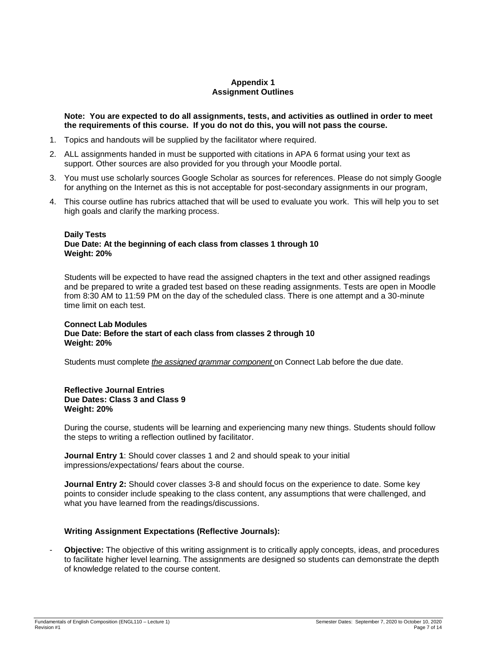# **Appendix 1 Assignment Outlines**

### **Note: You are expected to do all assignments, tests, and activities as outlined in order to meet the requirements of this course. If you do not do this, you will not pass the course.**

- 1. Topics and handouts will be supplied by the facilitator where required.
- 2. ALL assignments handed in must be supported with citations in APA 6 format using your text as support. Other sources are also provided for you through your Moodle portal.
- 3. You must use scholarly sources Google Scholar as sources for references. Please do not simply Google for anything on the Internet as this is not acceptable for post-secondary assignments in our program,
- 4. This course outline has rubrics attached that will be used to evaluate you work. This will help you to set high goals and clarify the marking process.

### **Daily Tests**

### **Due Date: At the beginning of each class from classes 1 through 10 Weight: 20%**

Students will be expected to have read the assigned chapters in the text and other assigned readings and be prepared to write a graded test based on these reading assignments. Tests are open in Moodle from 8:30 AM to 11:59 PM on the day of the scheduled class. There is one attempt and a 30-minute time limit on each test.

#### **Connect Lab Modules Due Date: Before the start of each class from classes 2 through 10 Weight: 20%**

Students must complete *the assigned grammar component* on Connect Lab before the due date.

### **Reflective Journal Entries Due Dates: Class 3 and Class 9 Weight: 20%**

During the course, students will be learning and experiencing many new things. Students should follow the steps to writing a reflection outlined by facilitator.

**Journal Entry 1**: Should cover classes 1 and 2 and should speak to your initial impressions/expectations/ fears about the course.

**Journal Entry 2:** Should cover classes 3-8 and should focus on the experience to date. Some key points to consider include speaking to the class content, any assumptions that were challenged, and what you have learned from the readings/discussions.

### **Writing Assignment Expectations (Reflective Journals):**

- **Objective:** The objective of this writing assignment is to critically apply concepts, ideas, and procedures to facilitate higher level learning. The assignments are designed so students can demonstrate the depth of knowledge related to the course content.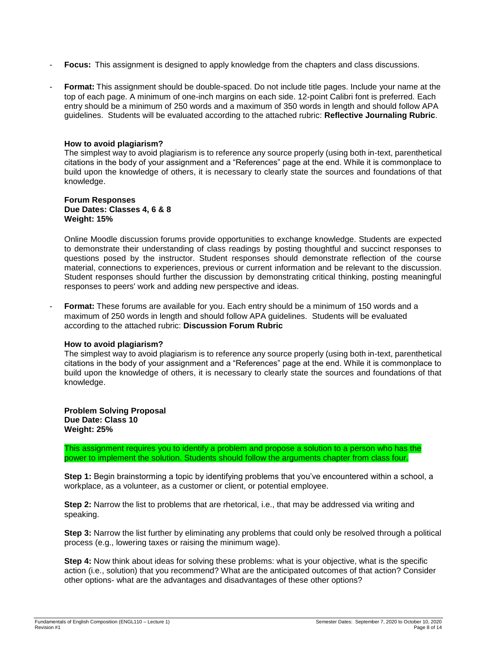- **Focus:** This assignment is designed to apply knowledge from the chapters and class discussions.
- Format: This assignment should be double-spaced. Do not include title pages. Include your name at the top of each page. A minimum of one-inch margins on each side. 12-point Calibri font is preferred. Each entry should be a minimum of 250 words and a maximum of 350 words in length and should follow APA guidelines. Students will be evaluated according to the attached rubric: **Reflective Journaling Rubric**.

### **How to avoid plagiarism?**

The simplest way to avoid plagiarism is to reference any source properly (using both in-text, parenthetical citations in the body of your assignment and a "References" page at the end. While it is commonplace to build upon the knowledge of others, it is necessary to clearly state the sources and foundations of that knowledge.

#### **Forum Responses Due Dates: Classes 4, 6 & 8 Weight: 15%**

Online Moodle discussion forums provide opportunities to exchange knowledge. Students are expected to demonstrate their understanding of class readings by posting thoughtful and succinct responses to questions posed by the instructor. Student responses should demonstrate reflection of the course material, connections to experiences, previous or current information and be relevant to the discussion. Student responses should further the discussion by demonstrating critical thinking, posting meaningful responses to peers' work and adding new perspective and ideas.

**Format:** These forums are available for you. Each entry should be a minimum of 150 words and a maximum of 250 words in length and should follow APA guidelines. Students will be evaluated according to the attached rubric: **Discussion Forum Rubric**

### **How to avoid plagiarism?**

The simplest way to avoid plagiarism is to reference any source properly (using both in-text, parenthetical citations in the body of your assignment and a "References" page at the end. While it is commonplace to build upon the knowledge of others, it is necessary to clearly state the sources and foundations of that knowledge.

#### **Problem Solving Proposal Due Date: Class 10 Weight: 25%**

This assignment requires you to identify a problem and propose a solution to a person who has the power to implement the solution. Students should follow the arguments chapter from class four.

**Step 1:** Begin brainstorming a topic by identifying problems that you've encountered within a school, a workplace, as a volunteer, as a customer or client, or potential employee.

**Step 2:** Narrow the list to problems that are rhetorical, i.e., that may be addressed via writing and speaking.

**Step 3:** Narrow the list further by eliminating any problems that could only be resolved through a political process (e.g., lowering taxes or raising the minimum wage).

**Step 4:** Now think about ideas for solving these problems: what is your objective, what is the specific action (i.e., solution) that you recommend? What are the anticipated outcomes of that action? Consider other options- what are the advantages and disadvantages of these other options?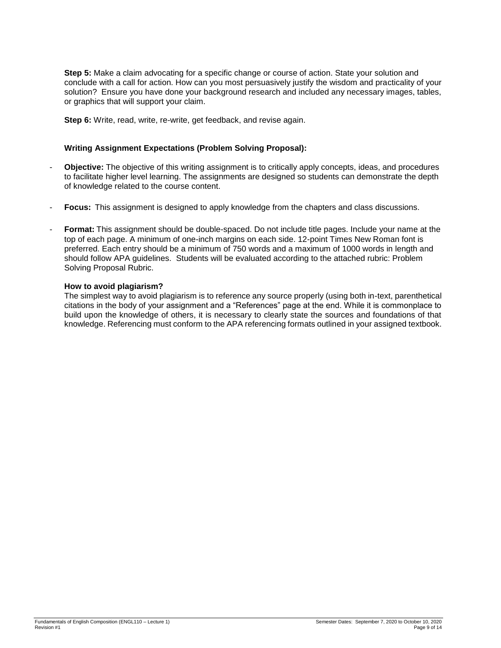**Step 5:** Make a claim advocating for a specific change or course of action. State your solution and conclude with a call for action. How can you most persuasively justify the wisdom and practicality of your solution? Ensure you have done your background research and included any necessary images, tables, or graphics that will support your claim.

**Step 6:** Write, read, write, re-write, get feedback, and revise again.

# **Writing Assignment Expectations (Problem Solving Proposal):**

- **Objective:** The objective of this writing assignment is to critically apply concepts, ideas, and procedures to facilitate higher level learning. The assignments are designed so students can demonstrate the depth of knowledge related to the course content.
- **Focus:** This assignment is designed to apply knowledge from the chapters and class discussions.
- **Format:** This assignment should be double-spaced. Do not include title pages. Include your name at the top of each page. A minimum of one-inch margins on each side. 12-point Times New Roman font is preferred. Each entry should be a minimum of 750 words and a maximum of 1000 words in length and should follow APA guidelines. Students will be evaluated according to the attached rubric: Problem Solving Proposal Rubric.

### **How to avoid plagiarism?**

The simplest way to avoid plagiarism is to reference any source properly (using both in-text, parenthetical citations in the body of your assignment and a "References" page at the end. While it is commonplace to build upon the knowledge of others, it is necessary to clearly state the sources and foundations of that knowledge. Referencing must conform to the APA referencing formats outlined in your assigned textbook.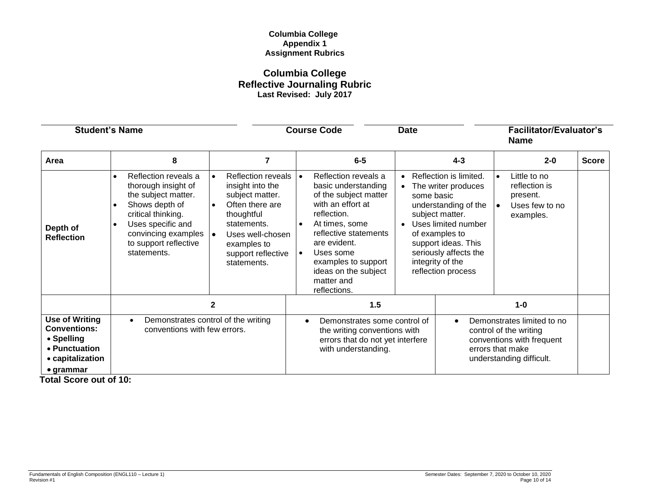## **Columbia College Appendix 1 Assignment Rubrics**

# **Columbia College Reflective Journaling Rubric Last Revised: July 2017**

| <b>Student's Name</b>                                                                                                |                                                                                                                                                                                                |                                                                                                                                                                                                       | <b>Course Code</b>                                                                                                                                                                                                                                                                               | <b>Date</b>                                                                                                                                                                                                                                                                      | <b>Facilitator/Evaluator's</b><br><b>Name</b>                                                                                     |              |
|----------------------------------------------------------------------------------------------------------------------|------------------------------------------------------------------------------------------------------------------------------------------------------------------------------------------------|-------------------------------------------------------------------------------------------------------------------------------------------------------------------------------------------------------|--------------------------------------------------------------------------------------------------------------------------------------------------------------------------------------------------------------------------------------------------------------------------------------------------|----------------------------------------------------------------------------------------------------------------------------------------------------------------------------------------------------------------------------------------------------------------------------------|-----------------------------------------------------------------------------------------------------------------------------------|--------------|
| Area                                                                                                                 | 8                                                                                                                                                                                              | 7                                                                                                                                                                                                     | $6-5$                                                                                                                                                                                                                                                                                            | $4 - 3$                                                                                                                                                                                                                                                                          | $2 - 0$                                                                                                                           | <b>Score</b> |
| Depth of<br><b>Reflection</b>                                                                                        | Reflection reveals a<br>thorough insight of<br>the subject matter.<br>Shows depth of<br>critical thinking.<br>Uses specific and<br>convincing examples<br>to support reflective<br>statements. | <b>Reflection reveals</b><br>insight into the<br>subject matter.<br>Often there are<br>$\bullet$<br>thoughtful<br>statements.<br>Uses well-chosen<br>examples to<br>support reflective<br>statements. | Reflection reveals a<br>l e i<br>basic understanding<br>of the subject matter<br>with an effort at<br>reflection.<br>At times, some<br>$\bullet$<br>reflective statements<br>are evident.<br>Uses some<br>$\bullet$<br>examples to support<br>ideas on the subject<br>matter and<br>reflections. | Reflection is limited.<br>$\bullet$<br>The writer produces<br>$\bullet$<br>some basic<br>understanding of the<br>subject matter.<br>Uses limited number<br>$\bullet$<br>of examples to<br>support ideas. This<br>seriously affects the<br>integrity of the<br>reflection process | Little to no<br>reflection is<br>present.<br>Uses few to no<br>$\bullet$<br>examples.                                             |              |
|                                                                                                                      |                                                                                                                                                                                                | 2                                                                                                                                                                                                     | 1.5                                                                                                                                                                                                                                                                                              |                                                                                                                                                                                                                                                                                  | $1-0$                                                                                                                             |              |
| <b>Use of Writing</b><br><b>Conventions:</b><br>• Spelling<br>• Punctuation<br>• capitalization<br>$\bullet$ grammar | Demonstrates control of the writing<br>conventions with few errors.                                                                                                                            |                                                                                                                                                                                                       | Demonstrates some control of<br>the writing conventions with<br>errors that do not yet interfere<br>with understanding.                                                                                                                                                                          | $\bullet$                                                                                                                                                                                                                                                                        | Demonstrates limited to no<br>control of the writing<br>conventions with frequent<br>errors that make<br>understanding difficult. |              |

 **Total Score out of 10:**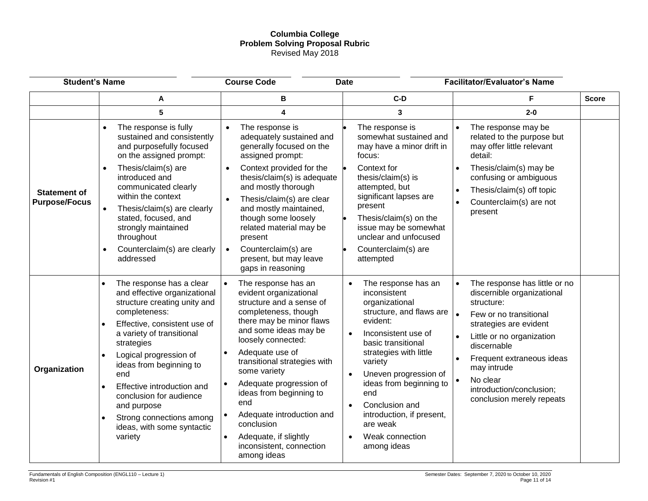## **Columbia College Problem Solving Proposal Rubric** Revised May 2018

| <b>Student's Name</b>                       |                                                                                                                                                                                                                                                                                                                                                                                                                                                                | <b>Course Code</b><br><b>Date</b>                                                                                                                                                                                                                                                                                                                                                                                                        |                                                                                                                                                                                                                                                                                                                                                                                             | <b>Facilitator/Evaluator's Name</b>                                                                                                                                                                                                                                                                                  |              |
|---------------------------------------------|----------------------------------------------------------------------------------------------------------------------------------------------------------------------------------------------------------------------------------------------------------------------------------------------------------------------------------------------------------------------------------------------------------------------------------------------------------------|------------------------------------------------------------------------------------------------------------------------------------------------------------------------------------------------------------------------------------------------------------------------------------------------------------------------------------------------------------------------------------------------------------------------------------------|---------------------------------------------------------------------------------------------------------------------------------------------------------------------------------------------------------------------------------------------------------------------------------------------------------------------------------------------------------------------------------------------|----------------------------------------------------------------------------------------------------------------------------------------------------------------------------------------------------------------------------------------------------------------------------------------------------------------------|--------------|
|                                             | Α                                                                                                                                                                                                                                                                                                                                                                                                                                                              | В                                                                                                                                                                                                                                                                                                                                                                                                                                        | $C-D$                                                                                                                                                                                                                                                                                                                                                                                       |                                                                                                                                                                                                                                                                                                                      | <b>Score</b> |
|                                             | 5                                                                                                                                                                                                                                                                                                                                                                                                                                                              | 4                                                                                                                                                                                                                                                                                                                                                                                                                                        | 3                                                                                                                                                                                                                                                                                                                                                                                           | $2 - 0$                                                                                                                                                                                                                                                                                                              |              |
| <b>Statement of</b><br><b>Purpose/Focus</b> | The response is fully<br>sustained and consistently<br>and purposefully focused<br>on the assigned prompt:<br>Thesis/claim(s) are<br>$\bullet$<br>introduced and<br>communicated clearly<br>within the context<br>Thesis/claim(s) are clearly<br>$\bullet$<br>stated, focused, and<br>strongly maintained<br>throughout                                                                                                                                        | The response is<br>$\bullet$<br>adequately sustained and<br>generally focused on the<br>assigned prompt:<br>Context provided for the<br>thesis/claim(s) is adequate<br>and mostly thorough<br>Thesis/claim(s) are clear<br>and mostly maintained,<br>though some loosely<br>related material may be<br>present                                                                                                                           | The response is<br>somewhat sustained and<br>may have a minor drift in<br>focus:<br>Context for<br>thesis/claim(s) is<br>attempted, but<br>significant lapses are<br>present<br>Thesis/claim(s) on the<br>issue may be somewhat                                                                                                                                                             | The response may be<br>related to the purpose but<br>may offer little relevant<br>detail:<br>Thesis/claim(s) may be<br>$\bullet$<br>confusing or ambiguous<br>Thesis/claim(s) off topic<br>$\bullet$<br>Counterclaim(s) are not<br>$\bullet$<br>present                                                              |              |
|                                             | Counterclaim(s) are clearly<br>$\bullet$<br>addressed                                                                                                                                                                                                                                                                                                                                                                                                          | Counterclaim(s) are<br>$\bullet$<br>present, but may leave<br>gaps in reasoning                                                                                                                                                                                                                                                                                                                                                          | unclear and unfocused<br>Counterclaim(s) are<br>attempted                                                                                                                                                                                                                                                                                                                                   |                                                                                                                                                                                                                                                                                                                      |              |
| Organization                                | The response has a clear<br>$\bullet$<br>and effective organizational<br>structure creating unity and<br>completeness:<br>Effective, consistent use of<br>$\bullet$<br>a variety of transitional<br>strategies<br>Logical progression of<br>$\bullet$<br>ideas from beginning to<br>end<br>Effective introduction and<br>$\bullet$<br>conclusion for audience<br>and purpose<br>Strong connections among<br>$\bullet$<br>ideas, with some syntactic<br>variety | The response has an<br>$\bullet$<br>evident organizational<br>structure and a sense of<br>completeness, though<br>there may be minor flaws<br>and some ideas may be<br>loosely connected:<br>Adequate use of<br>transitional strategies with<br>some variety<br>Adequate progression of<br>ideas from beginning to<br>end<br>Adequate introduction and<br>conclusion<br>Adequate, if slightly<br>inconsistent, connection<br>among ideas | The response has an<br>$\bullet$<br>inconsistent<br>organizational<br>structure, and flaws are<br>evident:<br>Inconsistent use of<br>$\bullet$<br>basic transitional<br>strategies with little<br>variety<br>Uneven progression of<br>ideas from beginning to<br>end<br>Conclusion and<br>$\bullet$<br>introduction, if present,<br>are weak<br>Weak connection<br>$\bullet$<br>among ideas | The response has little or no<br>$\bullet$<br>discernible organizational<br>structure:<br>Few or no transitional<br>strategies are evident<br>Little or no organization<br>$\bullet$<br>discernable<br>Frequent extraneous ideas<br>may intrude<br>No clear<br>introduction/conclusion;<br>conclusion merely repeats |              |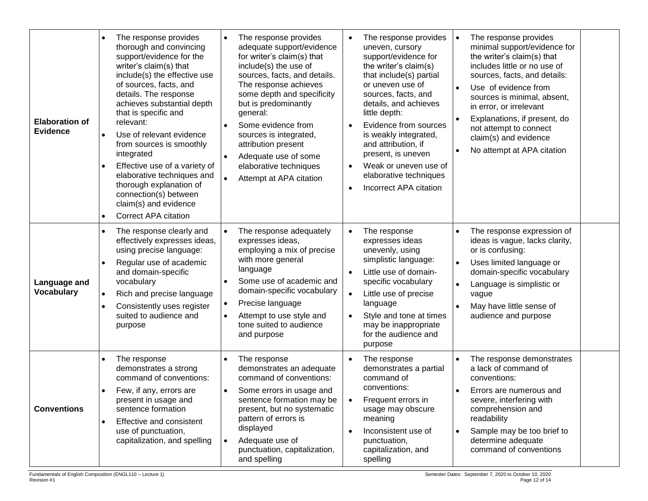| <b>Elaboration of</b><br><b>Evidence</b> | The response provides<br>$\bullet$<br>thorough and convincing<br>support/evidence for the<br>writer's claim(s) that<br>include(s) the effective use<br>of sources, facts, and<br>details. The response<br>achieves substantial depth<br>that is specific and<br>relevant:<br>Use of relevant evidence<br>$\bullet$<br>from sources is smoothly<br>integrated<br>Effective use of a variety of<br>$\bullet$<br>elaborative techniques and<br>thorough explanation of<br>connection(s) between<br>claim(s) and evidence<br><b>Correct APA citation</b><br>$\bullet$ | The response provides<br>adequate support/evidence<br>for writer's claim(s) that<br>include(s) the use of<br>sources, facts, and details.<br>The response achieves<br>some depth and specificity<br>but is predominantly<br>general:<br>Some evidence from<br>sources is integrated,<br>attribution present<br>Adequate use of some<br>$\bullet$<br>elaborative techniques<br>Attempt at APA citation | The response provides<br>$\bullet$<br>uneven, cursory<br>support/evidence for<br>the writer's claim(s)<br>that include(s) partial<br>or uneven use of<br>sources, facts, and<br>details, and achieves<br>little depth:<br>Evidence from sources<br>$\bullet$<br>is weakly integrated,<br>and attribution, if<br>present, is uneven<br>Weak or uneven use of<br>$\bullet$<br>elaborative techniques<br>Incorrect APA citation<br>$\bullet$ | The response provides<br>$\bullet$<br>minimal support/evidence for<br>the writer's claim(s) that<br>includes little or no use of<br>sources, facts, and details:<br>Use of evidence from<br>$\bullet$<br>sources is minimal, absent,<br>in error, or irrelevant<br>Explanations, if present, do<br>$\bullet$<br>not attempt to connect<br>claim(s) and evidence<br>No attempt at APA citation |
|------------------------------------------|-------------------------------------------------------------------------------------------------------------------------------------------------------------------------------------------------------------------------------------------------------------------------------------------------------------------------------------------------------------------------------------------------------------------------------------------------------------------------------------------------------------------------------------------------------------------|-------------------------------------------------------------------------------------------------------------------------------------------------------------------------------------------------------------------------------------------------------------------------------------------------------------------------------------------------------------------------------------------------------|-------------------------------------------------------------------------------------------------------------------------------------------------------------------------------------------------------------------------------------------------------------------------------------------------------------------------------------------------------------------------------------------------------------------------------------------|-----------------------------------------------------------------------------------------------------------------------------------------------------------------------------------------------------------------------------------------------------------------------------------------------------------------------------------------------------------------------------------------------|
| Language and<br><b>Vocabulary</b>        | The response clearly and<br>$\bullet$<br>effectively expresses ideas,<br>using precise language:<br>Regular use of academic<br>and domain-specific<br>vocabulary<br>Rich and precise language<br>$\bullet$<br>Consistently uses register<br>$\bullet$<br>suited to audience and<br>purpose                                                                                                                                                                                                                                                                        | The response adequately<br>expresses ideas,<br>employing a mix of precise<br>with more general<br>language<br>Some use of academic and<br>domain-specific vocabulary<br>Precise language<br>Attempt to use style and<br>tone suited to audience<br>and purpose                                                                                                                                        | The response<br>$\bullet$<br>expresses ideas<br>unevenly, using<br>simplistic language:<br>Little use of domain-<br>specific vocabulary<br>Little use of precise<br>$\bullet$<br>language<br>Style and tone at times<br>$\bullet$<br>may be inappropriate<br>for the audience and<br>purpose                                                                                                                                              | The response expression of<br>ideas is vague, lacks clarity,<br>or is confusing:<br>Uses limited language or<br>domain-specific vocabulary<br>Language is simplistic or<br>$\bullet$<br>vague<br>May have little sense of<br>$\bullet$<br>audience and purpose                                                                                                                                |
| <b>Conventions</b>                       | The response<br>$\bullet$<br>demonstrates a strong<br>command of conventions:<br>Few, if any, errors are<br>$\bullet$<br>present in usage and<br>sentence formation<br>Effective and consistent<br>$\bullet$<br>use of punctuation,<br>capitalization, and spelling                                                                                                                                                                                                                                                                                               | The response<br>demonstrates an adequate<br>command of conventions:<br>Some errors in usage and<br>sentence formation may be<br>present, but no systematic<br>pattern of errors is<br>displayed<br>Adequate use of<br>$\bullet$<br>punctuation, capitalization,<br>and spelling                                                                                                                       | The response<br>demonstrates a partial<br>command of<br>conventions:<br>Frequent errors in<br>usage may obscure<br>meaning<br>Inconsistent use of<br>$\bullet$<br>punctuation,<br>capitalization, and<br>spelling                                                                                                                                                                                                                         | The response demonstrates<br>a lack of command of<br>conventions:<br>Errors are numerous and<br>severe, interfering with<br>comprehension and<br>readability<br>Sample may be too brief to<br>$\bullet$<br>determine adequate<br>command of conventions                                                                                                                                       |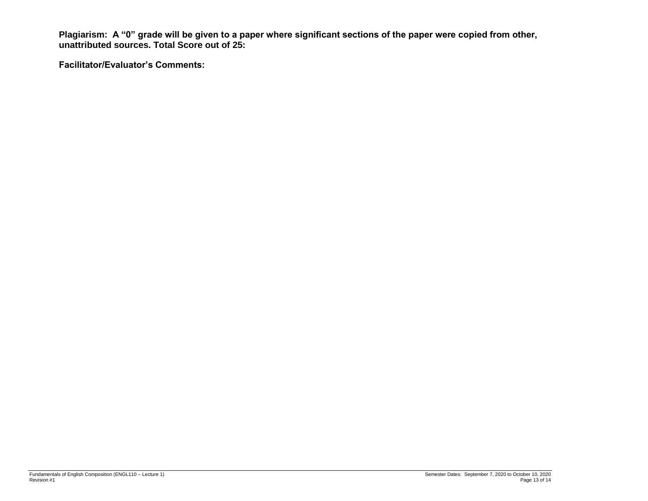**Plagiarism: A "0" grade will be given to a paper where significant sections of the paper were copied from other, unattributed sources. Total Score out of 25:** 

**Facilitator/Evaluator's Comments:**